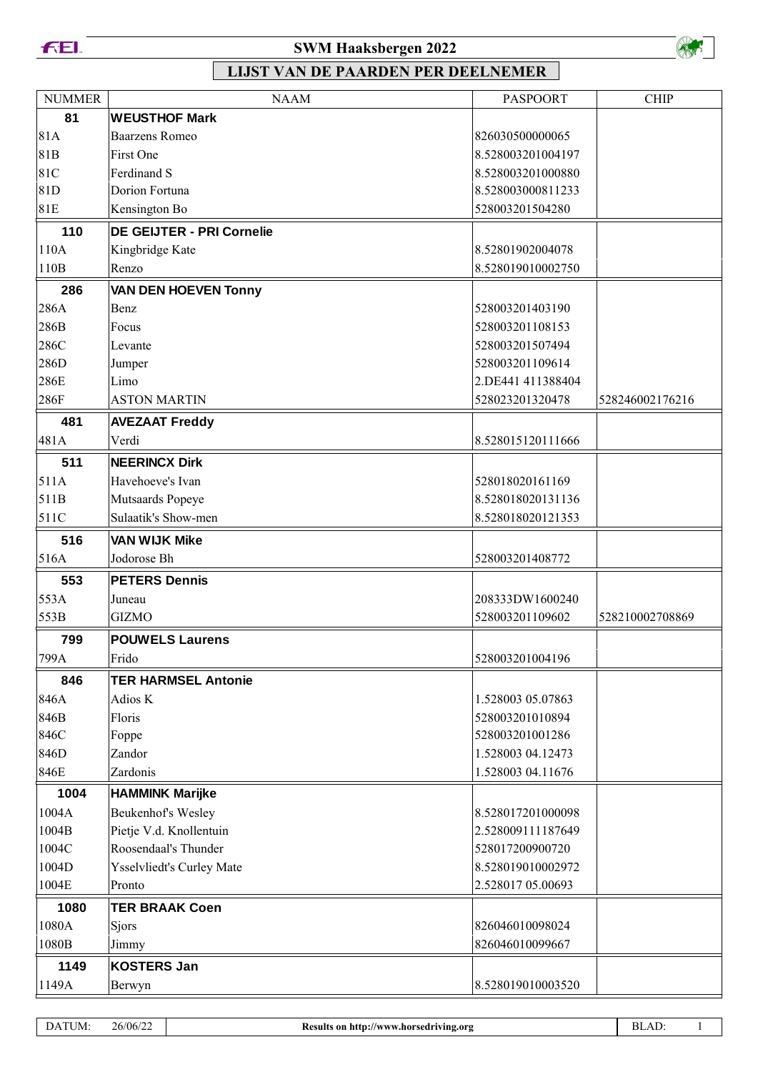

### **SWM Haaksbergen 2022**



| <b>NUMMER</b>    | <b>NAAM</b>                      | <b>PASPOORT</b>                    | <b>CHIP</b>     |
|------------------|----------------------------------|------------------------------------|-----------------|
| 81               | <b>WEUSTHOF Mark</b>             |                                    |                 |
| 81A              | <b>Baarzens Romeo</b>            | 826030500000065                    |                 |
| 81B              | First One                        | 8.528003201004197                  |                 |
| 81C              | Ferdinand S                      | 8.528003201000880                  |                 |
| 81D              | Dorion Fortuna                   | 8.528003000811233                  |                 |
| 81E              | Kensington Bo                    | 528003201504280                    |                 |
| 110              | <b>DE GEIJTER - PRI Cornelie</b> |                                    |                 |
| 110A             | Kingbridge Kate                  | 8.52801902004078                   |                 |
| 110B             | Renzo                            | 8.528019010002750                  |                 |
| 286              | <b>VAN DEN HOEVEN Tonny</b>      |                                    |                 |
| 286A             | Benz                             | 528003201403190                    |                 |
| 286B             | Focus                            | 528003201108153                    |                 |
| 286C             | Levante                          | 528003201507494                    |                 |
| 286D             | Jumper                           | 528003201109614                    |                 |
| 286E             | Limo                             | 2.DE441 411388404                  |                 |
| 286F             | <b>ASTON MARTIN</b>              | 528023201320478                    | 528246002176216 |
| 481              | <b>AVEZAAT Freddy</b>            |                                    |                 |
| 481A             | Verdi                            | 8.528015120111666                  |                 |
| 511              | <b>NEERINCX Dirk</b>             |                                    |                 |
| 511A             | Havehoeve's Ivan                 | 528018020161169                    |                 |
| 511B             | Mutsaards Popeye                 | 8.528018020131136                  |                 |
| 511C             | Sulaatik's Show-men              | 8.528018020121353                  |                 |
| 516              | <b>VAN WIJK Mike</b>             |                                    |                 |
| 516A             | Jodorose Bh                      | 528003201408772                    |                 |
| 553              | <b>PETERS Dennis</b>             |                                    |                 |
| 553A             |                                  |                                    |                 |
| 553B             | Juneau<br><b>GIZMO</b>           | 208333DW1600240<br>528003201109602 | 528210002708869 |
|                  |                                  |                                    |                 |
| 799<br>799A      | <b>POUWELS Laurens</b><br>Frido  | 528003201004196                    |                 |
| 846              | <b>TER HARMSEL Antonie</b>       |                                    |                 |
| 846A             | Adios K                          | 1.528003 05.07863                  |                 |
| 846B             | Floris                           | 528003201010894                    |                 |
| 846C             | Foppe                            | 528003201001286                    |                 |
| 846D             | Zandor                           | 1.528003 04.12473                  |                 |
| 846E             | Zardonis                         | 1.528003 04.11676                  |                 |
| 1004             | <b>HAMMINK Marijke</b>           |                                    |                 |
| 1004A            | Beukenhof's Wesley               | 8.528017201000098                  |                 |
| 1004B            | Pietje V.d. Knollentuin          | 2.528009111187649                  |                 |
| 1004C            | Roosendaal's Thunder             | 528017200900720                    |                 |
| 1004D            | Ysselvliedt's Curley Mate        | 8.528019010002972                  |                 |
| $1004\mathrm{E}$ | Pronto                           | 2.528017 05.00693                  |                 |
|                  |                                  |                                    |                 |
| 1080<br>1080A    | <b>TER BRAAK Coen</b><br>Sjors   | 826046010098024                    |                 |
| 1080B            | Jimmy                            | 826046010099667                    |                 |
|                  |                                  |                                    |                 |
| 1149             | <b>KOSTERS Jan</b>               |                                    |                 |
| 1149A            | Berwyn                           | 8.528019010003520                  |                 |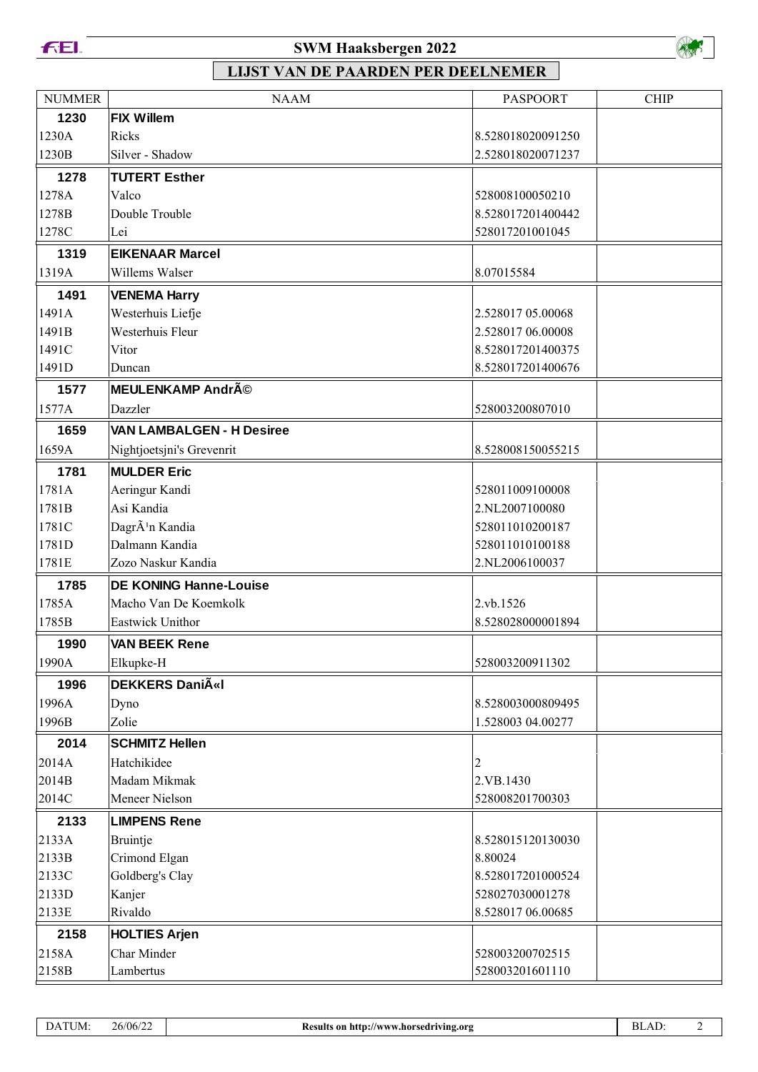

## **SWM Haaksbergen 2022**



| <b>NUMMER</b> | <b>NAAM</b>                      | <b>PASPOORT</b>   | <b>CHIP</b> |
|---------------|----------------------------------|-------------------|-------------|
| 1230          | <b>FIX Willem</b>                |                   |             |
| 1230A         | Ricks                            | 8.528018020091250 |             |
| 1230B         | Silver - Shadow                  | 2.528018020071237 |             |
| 1278          | <b>TUTERT Esther</b>             |                   |             |
| 1278A         | Valco                            | 528008100050210   |             |
| 1278B         | Double Trouble                   | 8.528017201400442 |             |
| 1278C         | Lei                              | 528017201001045   |             |
| 1319          | <b>EIKENAAR Marcel</b>           |                   |             |
| 1319A         | Willems Walser                   | 8.07015584        |             |
| 1491          | <b>VENEMA Harry</b>              |                   |             |
| 1491A         | Westerhuis Liefje                | 2.528017 05.00068 |             |
| 1491B         | Westerhuis Fleur                 | 2.528017 06.00008 |             |
| 1491C         | Vitor                            | 8.528017201400375 |             |
| 1491D         | Duncan                           | 8.528017201400676 |             |
| 1577          | <b>MEULENKAMP André</b>          |                   |             |
| 1577A         | Dazzler                          | 528003200807010   |             |
| 1659          | <b>VAN LAMBALGEN - H Desiree</b> |                   |             |
| 1659A         | Nightjoetsjni's Grevenrit        | 8.528008150055215 |             |
| 1781          | <b>MULDER Eric</b>               |                   |             |
| 1781A         | Aeringur Kandi                   | 528011009100008   |             |
| 1781B         | Asi Kandia                       | 2.NL2007100080    |             |
| 1781C         | DagrÃ <sup>1</sup> n Kandia      | 528011010200187   |             |
| 1781D         | Dalmann Kandia                   | 528011010100188   |             |
| 1781E         | Zozo Naskur Kandia               | 2.NL2006100037    |             |
| 1785          | <b>DE KONING Hanne-Louise</b>    |                   |             |
| 1785A         | Macho Van De Koemkolk            | 2.vb.1526         |             |
| 1785B         | Eastwick Unithor                 | 8.528028000001894 |             |
| 1990          | <b>VAN BEEK Rene</b>             |                   |             |
| 1990A         | Elkupke-H                        | 528003200911302   |             |
| 1996          | <b>DEKKERS DaniëI</b>            |                   |             |
| 1996A         | Dyno                             | 8.528003000809495 |             |
| 1996B         | Zolie                            | 1.528003 04.00277 |             |
| 2014          | <b>SCHMITZ Hellen</b>            |                   |             |
| 2014A         | Hatchikidee                      | $\overline{c}$    |             |
| 2014B         | Madam Mikmak                     | 2.VB.1430         |             |
| 2014C         | Meneer Nielson                   | 528008201700303   |             |
| 2133          | <b>LIMPENS Rene</b>              |                   |             |
| 2133A         | Bruintje                         | 8.528015120130030 |             |
| 2133B         | Crimond Elgan                    | 8.80024           |             |
| 2133C         | Goldberg's Clay                  | 8.528017201000524 |             |
| 2133D         | Kanjer                           | 528027030001278   |             |
| 2133E         | Rivaldo                          | 8.528017 06.00685 |             |
| 2158          | <b>HOLTIES Arjen</b>             |                   |             |
| 2158A         | Char Minder                      | 528003200702515   |             |
| 2158B         | Lambertus                        | 528003201601110   |             |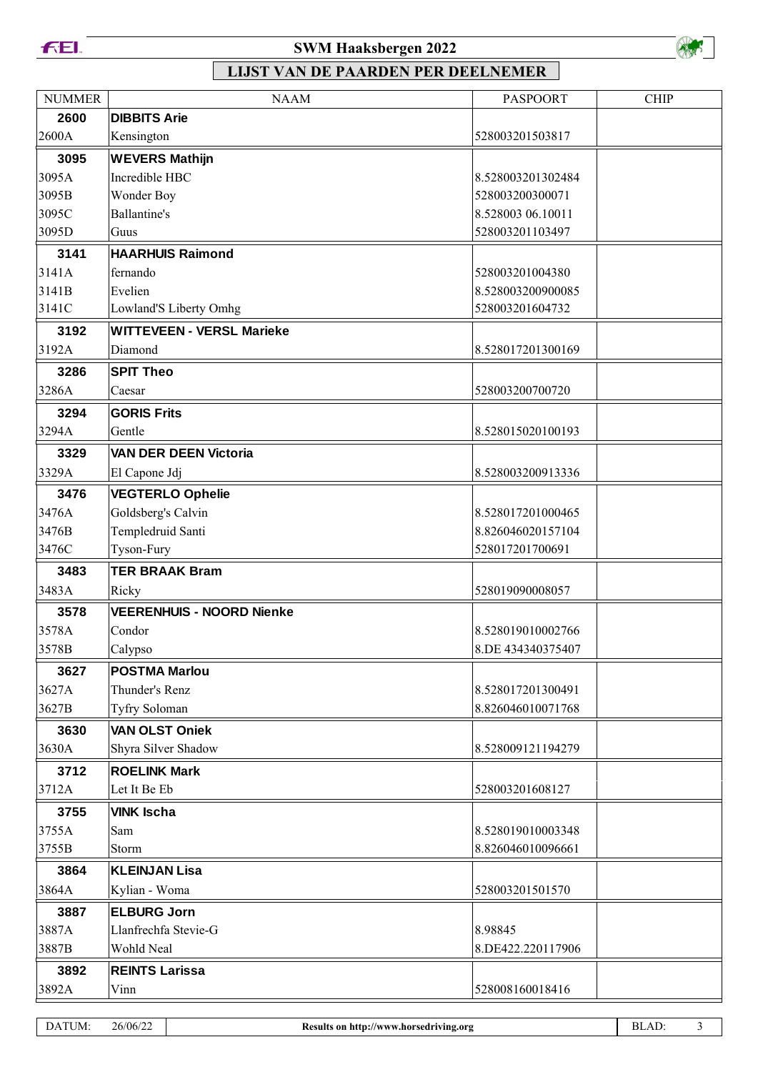

### **SWM Haaksbergen 2022**



| <b>NUMMER</b> | <b>NAAM</b>                      | <b>PASPOORT</b>   | <b>CHIP</b> |
|---------------|----------------------------------|-------------------|-------------|
| 2600          | <b>DIBBITS Arie</b>              |                   |             |
| 2600A         | Kensington                       | 528003201503817   |             |
| 3095          | <b>WEVERS Mathijn</b>            |                   |             |
| 3095A         | Incredible HBC                   | 8.528003201302484 |             |
| 3095B         | Wonder Boy                       | 528003200300071   |             |
| 3095C         | <b>Ballantine's</b>              | 8.528003 06.10011 |             |
| 3095D         | Guus                             | 528003201103497   |             |
| 3141          | <b>HAARHUIS Raimond</b>          |                   |             |
| 3141A         | fernando                         | 528003201004380   |             |
| 3141B         | Evelien                          | 8.528003200900085 |             |
| 3141C         | Lowland'S Liberty Omhg           | 528003201604732   |             |
| 3192          | <b>WITTEVEEN - VERSL Marieke</b> |                   |             |
| 3192A         | Diamond                          | 8.528017201300169 |             |
| 3286          | <b>SPIT Theo</b>                 |                   |             |
| 3286A         | Caesar                           | 528003200700720   |             |
| 3294          | <b>GORIS Frits</b>               |                   |             |
| 3294A         | Gentle                           | 8.528015020100193 |             |
| 3329          | <b>VAN DER DEEN Victoria</b>     |                   |             |
| 3329A         | El Capone Jdj                    | 8.528003200913336 |             |
| 3476          | <b>VEGTERLO Ophelie</b>          |                   |             |
| 3476A         | Goldsberg's Calvin               | 8.528017201000465 |             |
| 3476B         | Templedruid Santi                | 8.826046020157104 |             |
| 3476C         | Tyson-Fury                       | 528017201700691   |             |
| 3483          | <b>TER BRAAK Bram</b>            |                   |             |
| 3483A         | Ricky                            | 528019090008057   |             |
| 3578          | <b>VEERENHUIS - NOORD Nienke</b> |                   |             |
| 3578A         | Condor                           | 8.528019010002766 |             |
| 3578B         | Calypso                          | 8.DE 434340375407 |             |
| 3627          | <b>POSTMA Marlou</b>             |                   |             |
| 3627A         | Thunder's Renz                   | 8.528017201300491 |             |
| 3627B         | Tyfry Soloman                    | 8.826046010071768 |             |
| 3630          | <b>VAN OLST Oniek</b>            |                   |             |
| 3630A         | Shyra Silver Shadow              | 8.528009121194279 |             |
| 3712          | <b>ROELINK Mark</b>              |                   |             |
| 3712A         | Let It Be Eb                     | 528003201608127   |             |
| 3755          | <b>VINK Ischa</b>                |                   |             |
| 3755A         | Sam                              | 8.528019010003348 |             |
| 3755B         | Storm                            | 8.826046010096661 |             |
| 3864          | <b>KLEINJAN Lisa</b>             |                   |             |
| 3864A         | Kylian - Woma                    | 528003201501570   |             |
| 3887          | <b>ELBURG Jorn</b>               |                   |             |
| 3887A         | Llanfrechfa Stevie-G             | 8.98845           |             |
| 3887B         | Wohld Neal                       | 8.DE422.220117906 |             |
| 3892          | <b>REINTS Larissa</b>            |                   |             |
| 3892A         | Vinn                             | 528008160018416   |             |
|               |                                  |                   |             |